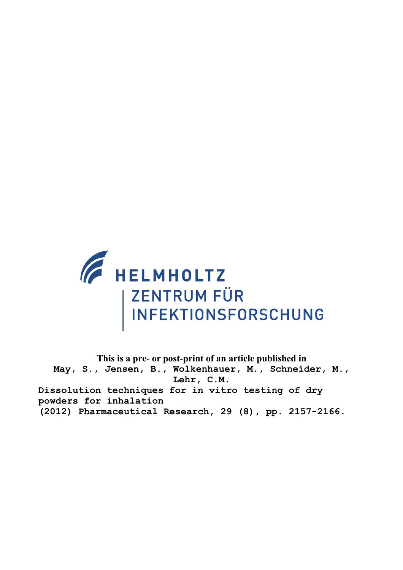

**This is a pre- or post-print of an article published in May, S., Jensen, B., Wolkenhauer, M., Schneider, M., Lehr, C.M. Dissolution techniques for in vitro testing of dry powders for inhalation (2012) Pharmaceutical Research, 29 (8), pp. 2157-2166.**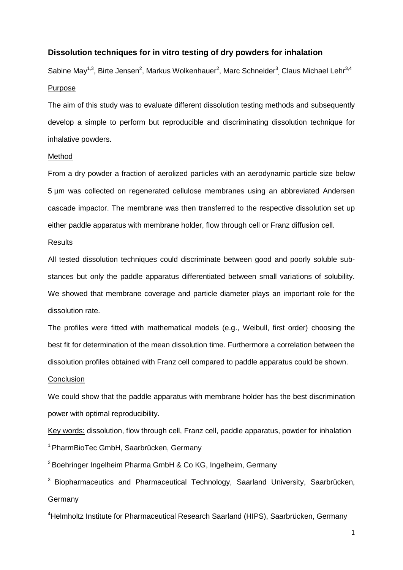## **Dissolution techniques for in vitro testing of dry powders for inhalation**

Sabine May<sup>1,3</sup>, Birte Jensen<sup>2</sup>, Markus Wolkenhauer<sup>2</sup>, Marc Schneider<sup>3</sup>, Claus Michael Lehr<sup>3,4</sup> Purpose

The aim of this study was to evaluate different dissolution testing methods and subsequently develop a simple to perform but reproducible and discriminating dissolution technique for inhalative powders.

## Method

From a dry powder a fraction of aerolized particles with an aerodynamic particle size below 5 µm was collected on regenerated cellulose membranes using an abbreviated Andersen cascade impactor. The membrane was then transferred to the respective dissolution set up either paddle apparatus with membrane holder, flow through cell or Franz diffusion cell.

## **Results**

All tested dissolution techniques could discriminate between good and poorly soluble substances but only the paddle apparatus differentiated between small variations of solubility. We showed that membrane coverage and particle diameter plays an important role for the dissolution rate.

The profiles were fitted with mathematical models (e.g., Weibull, first order) choosing the best fit for determination of the mean dissolution time. Furthermore a correlation between the dissolution profiles obtained with Franz cell compared to paddle apparatus could be shown.

#### **Conclusion**

We could show that the paddle apparatus with membrane holder has the best discrimination power with optimal reproducibility.

Key words: dissolution, flow through cell, Franz cell, paddle apparatus, powder for inhalation <sup>1</sup> PharmBioTec GmbH, Saarbrücken, Germany

<sup>2</sup> Boehringer Ingelheim Pharma GmbH & Co KG, Ingelheim, Germany

 $3$  Biopharmaceutics and Pharmaceutical Technology, Saarland University, Saarbrücken, Germany

<sup>4</sup>Helmholtz Institute for Pharmaceutical Research Saarland (HIPS), Saarbrücken, Germany

1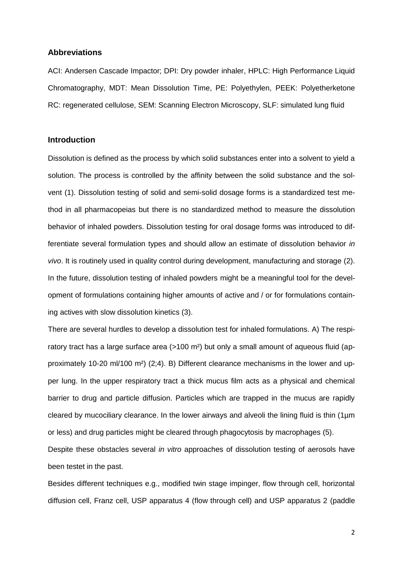### **Abbreviations**

ACI: Andersen Cascade Impactor; DPI: Dry powder inhaler, HPLC: High Performance Liquid Chromatography, MDT: Mean Dissolution Time, PE: Polyethylen, PEEK: Polyetherketone RC: regenerated cellulose, SEM: Scanning Electron Microscopy, SLF: simulated lung fluid

## **Introduction**

Dissolution is defined as the process by which solid substances enter into a solvent to yield a solution. The process is controlled by the affinity between the solid substance and the solvent (1). Dissolution testing of solid and semi-solid dosage forms is a standardized test method in all pharmacopeias but there is no standardized method to measure the dissolution behavior of inhaled powders. Dissolution testing for oral dosage forms was introduced to differentiate several formulation types and should allow an estimate of dissolution behavior *in vivo*. It is routinely used in quality control during development, manufacturing and storage (2). In the future, dissolution testing of inhaled powders might be a meaningful tool for the development of formulations containing higher amounts of active and / or for formulations containing actives with slow dissolution kinetics (3).

There are several hurdles to develop a dissolution test for inhaled formulations. A) The respiratory tract has a large surface area (>100 m<sup>2</sup>) but only a small amount of aqueous fluid (approximately 10-20 ml/100 m²) (2;4). B) Different clearance mechanisms in the lower and upper lung. In the upper respiratory tract a thick mucus film acts as a physical and chemical barrier to drug and particle diffusion. Particles which are trapped in the mucus are rapidly cleared by mucociliary clearance. In the lower airways and alveoli the lining fluid is thin (1µm or less) and drug particles might be cleared through phagocytosis by macrophages (5).

Despite these obstacles several *in vitro* approaches of dissolution testing of aerosols have been testet in the past.

Besides different techniques e.g., modified twin stage impinger, flow through cell, horizontal diffusion cell, Franz cell, USP apparatus 4 (flow through cell) and USP apparatus 2 (paddle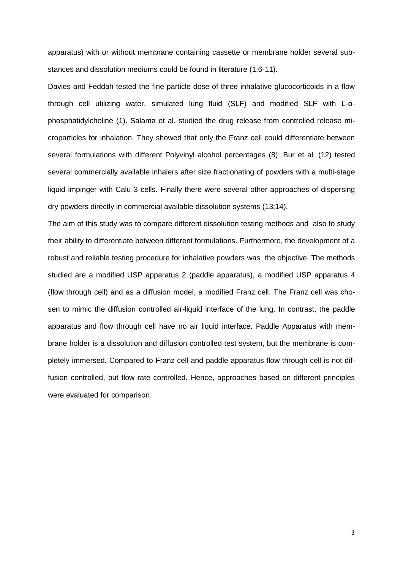apparatus) with or without membrane containing cassette or membrane holder several substances and dissolution mediums could be found in literature (1;6-11).

Davies and Feddah tested the fine particle dose of three inhalative glucocorticoids in a flow through cell utilizing water, simulated lung fluid (SLF) and modified SLF with L-αphosphatidylcholine (1). Salama et al. studied the drug release from controlled release microparticles for inhalation. They showed that only the Franz cell could differentiate between several formulations with different Polyvinyl alcohol percentages (8). Bur et al. (12) tested several commercially available inhalers after size fractionating of powders with a multi-stage liquid impinger with Calu 3 cells. Finally there were several other approaches of dispersing dry powders directly in commercial available dissolution systems (13;14).

The aim of this study was to compare different dissolution testing methods and also to study their ability to differentiate between different formulations. Furthermore, the development of a robust and reliable testing procedure for inhalative powders was the objective. The methods studied are a modified USP apparatus 2 (paddle apparatus), a modified USP apparatus 4 (flow through cell) and as a diffusion model, a modified Franz cell. The Franz cell was chosen to mimic the diffusion controlled air-liquid interface of the lung. In contrast, the paddle apparatus and flow through cell have no air liquid interface. Paddle Apparatus with membrane holder is a dissolution and diffusion controlled test system, but the membrane is completely immersed. Compared to Franz cell and paddle apparatus flow through cell is not diffusion controlled, but flow rate controlled. Hence, approaches based on different principles were evaluated for comparison.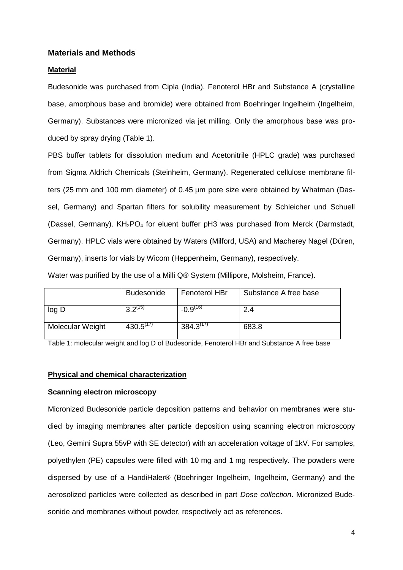## **Materials and Methods**

### **Material**

Budesonide was purchased from Cipla (India). Fenoterol HBr and Substance A (crystalline base, amorphous base and bromide) were obtained from Boehringer Ingelheim (Ingelheim, Germany). Substances were micronized via jet milling. Only the amorphous base was produced by spray drying (Table 1).

PBS buffer tablets for dissolution medium and Acetonitrile (HPLC grade) was purchased from Sigma Aldrich Chemicals (Steinheim, Germany). Regenerated cellulose membrane filters (25 mm and 100 mm diameter) of 0.45 µm pore size were obtained by Whatman (Dassel, Germany) and Spartan filters for solubility measurement by Schleicher und Schuell (Dassel, Germany).  $KH<sub>2</sub>PO<sub>4</sub>$  for eluent buffer pH3 was purchased from Merck (Darmstadt, Germany). HPLC vials were obtained by Waters (Milford, USA) and Macherey Nagel (Düren, Germany), inserts for vials by Wicom (Heppenheim, Germany), respectively.

Water was purified by the use of a Milli Q® System (Millipore, Molsheim, France).

|                  | <b>Budesonide</b> | Fenoterol HBr | Substance A free base |
|------------------|-------------------|---------------|-----------------------|
| log D            | 2.2(15)           | $-0.9^{(16)}$ | 2.4                   |
| Molecular Weight | $430.5^{(17)}$    | $384.3^{(1)}$ | 683.8                 |

Table 1: molecular weight and log D of Budesonide, Fenoterol HBr and Substance A free base

### **Physical and chemical characterization**

## **Scanning electron microscopy**

Micronized Budesonide particle deposition patterns and behavior on membranes were studied by imaging membranes after particle deposition using scanning electron microscopy (Leo, Gemini Supra 55vP with SE detector) with an acceleration voltage of 1kV. For samples, polyethylen (PE) capsules were filled with 10 mg and 1 mg respectively. The powders were dispersed by use of a HandiHaler® (Boehringer Ingelheim, Ingelheim, Germany) and the aerosolized particles were collected as described in part *Dose collection*. Micronized Budesonide and membranes without powder, respectively act as references.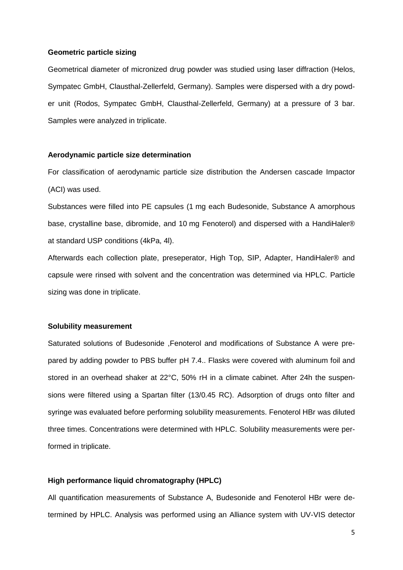## **Geometric particle sizing**

Geometrical diameter of micronized drug powder was studied using laser diffraction (Helos, Sympatec GmbH, Clausthal-Zellerfeld, Germany). Samples were dispersed with a dry powder unit (Rodos, Sympatec GmbH, Clausthal-Zellerfeld, Germany) at a pressure of 3 bar. Samples were analyzed in triplicate.

### **Aerodynamic particle size determination**

For classification of aerodynamic particle size distribution the Andersen cascade Impactor (ACI) was used.

Substances were filled into PE capsules (1 mg each Budesonide, Substance A amorphous base, crystalline base, dibromide, and 10 mg Fenoterol) and dispersed with a HandiHaler® at standard USP conditions (4kPa, 4l).

Afterwards each collection plate, preseperator, High Top, SIP, Adapter, HandiHaler® and capsule were rinsed with solvent and the concentration was determined via HPLC. Particle sizing was done in triplicate.

### **Solubility measurement**

Saturated solutions of Budesonide ,Fenoterol and modifications of Substance A were prepared by adding powder to PBS buffer pH 7.4.. Flasks were covered with aluminum foil and stored in an overhead shaker at 22°C, 50% rH in a climate cabinet. After 24h the suspensions were filtered using a Spartan filter (13/0.45 RC). Adsorption of drugs onto filter and syringe was evaluated before performing solubility measurements. Fenoterol HBr was diluted three times. Concentrations were determined with HPLC. Solubility measurements were performed in triplicate.

### **High performance liquid chromatography (HPLC)**

All quantification measurements of Substance A, Budesonide and Fenoterol HBr were determined by HPLC. Analysis was performed using an Alliance system with UV-VIS detector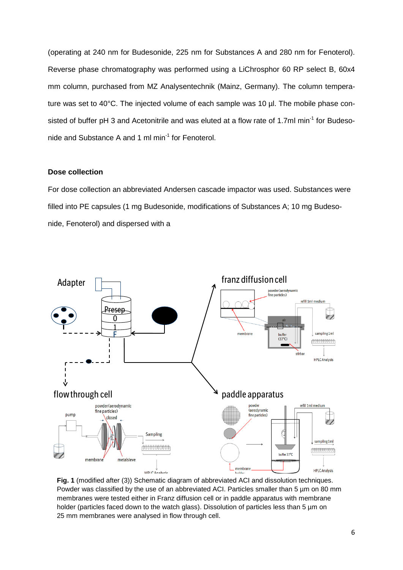(operating at 240 nm for Budesonide, 225 nm for Substances A and 280 nm for Fenoterol). Reverse phase chromatography was performed using a LiChrosphor 60 RP select B, 60x4 mm column, purchased from MZ Analysentechnik (Mainz, Germany). The column temperature was set to 40°C. The injected volume of each sample was 10 µl. The mobile phase consisted of buffer pH 3 and Acetonitrile and was eluted at a flow rate of 1.7ml min<sup>-1</sup> for Budesonide and Substance A and 1 ml min<sup>-1</sup> for Fenoterol.

## **Dose collection**

For dose collection an abbreviated Andersen cascade impactor was used. Substances were filled into PE capsules (1 mg Budesonide, modifications of Substances A; 10 mg Budesonide, Fenoterol) and dispersed with a



**Fig. 1** (modified after (3)) Schematic diagram of abbreviated ACI and dissolution techniques. Powder was classified by the use of an abbreviated ACI. Particles smaller than 5 µm on 80 mm membranes were tested either in Franz diffusion cell or in paddle apparatus with membrane holder (particles faced down to the watch glass). Dissolution of particles less than 5 µm on 25 mm membranes were analysed in flow through cell.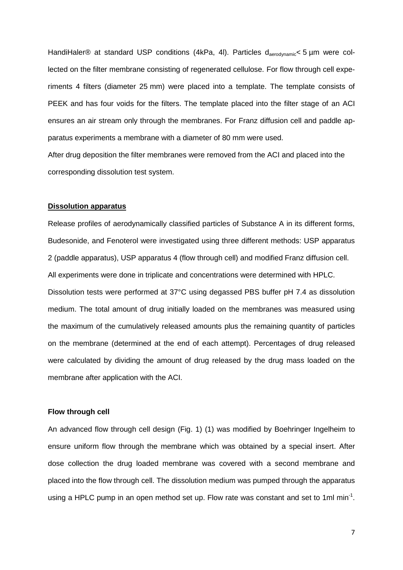HandiHaler® at standard USP conditions (4kPa, 4l). Particles d<sub>aerodynamic</sub>< 5 µm were collected on the filter membrane consisting of regenerated cellulose. For flow through cell experiments 4 filters (diameter 25 mm) were placed into a template. The template consists of PEEK and has four voids for the filters. The template placed into the filter stage of an ACI ensures an air stream only through the membranes. For Franz diffusion cell and paddle apparatus experiments a membrane with a diameter of 80 mm were used.

After drug deposition the filter membranes were removed from the ACI and placed into the corresponding dissolution test system.

## **Dissolution apparatus**

Release profiles of aerodynamically classified particles of Substance A in its different forms, Budesonide, and Fenoterol were investigated using three different methods: USP apparatus 2 (paddle apparatus), USP apparatus 4 (flow through cell) and modified Franz diffusion cell. All experiments were done in triplicate and concentrations were determined with HPLC. Dissolution tests were performed at 37°C using degassed PBS buffer pH 7.4 as dissolution medium. The total amount of drug initially loaded on the membranes was measured using the maximum of the cumulatively released amounts plus the remaining quantity of particles on the membrane (determined at the end of each attempt). Percentages of drug released were calculated by dividing the amount of drug released by the drug mass loaded on the membrane after application with the ACI.

### **Flow through cell**

An advanced flow through cell design (Fig. 1) (1) was modified by Boehringer Ingelheim to ensure uniform flow through the membrane which was obtained by a special insert. After dose collection the drug loaded membrane was covered with a second membrane and placed into the flow through cell. The dissolution medium was pumped through the apparatus using a HPLC pump in an open method set up. Flow rate was constant and set to 1ml min<sup>-1</sup>.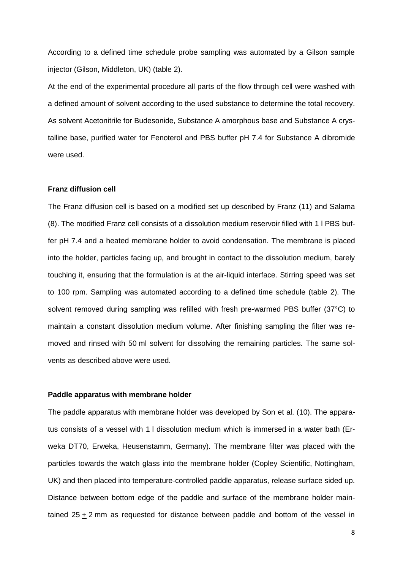According to a defined time schedule probe sampling was automated by a Gilson sample injector (Gilson, Middleton, UK) (table 2).

At the end of the experimental procedure all parts of the flow through cell were washed with a defined amount of solvent according to the used substance to determine the total recovery. As solvent Acetonitrile for Budesonide, Substance A amorphous base and Substance A crystalline base, purified water for Fenoterol and PBS buffer pH 7.4 for Substance A dibromide were used.

## **Franz diffusion cell**

The Franz diffusion cell is based on a modified set up described by Franz (11) and Salama (8). The modified Franz cell consists of a dissolution medium reservoir filled with 1 l PBS buffer pH 7.4 and a heated membrane holder to avoid condensation. The membrane is placed into the holder, particles facing up, and brought in contact to the dissolution medium, barely touching it, ensuring that the formulation is at the air-liquid interface. Stirring speed was set to 100 rpm. Sampling was automated according to a defined time schedule (table 2). The solvent removed during sampling was refilled with fresh pre-warmed PBS buffer (37°C) to maintain a constant dissolution medium volume. After finishing sampling the filter was removed and rinsed with 50 ml solvent for dissolving the remaining particles. The same solvents as described above were used.

### **Paddle apparatus with membrane holder**

The paddle apparatus with membrane holder was developed by Son et al. (10). The apparatus consists of a vessel with 1 l dissolution medium which is immersed in a water bath (Erweka DT70, Erweka, Heusenstamm, Germany). The membrane filter was placed with the particles towards the watch glass into the membrane holder (Copley Scientific, Nottingham, UK) and then placed into temperature-controlled paddle apparatus, release surface sided up. Distance between bottom edge of the paddle and surface of the membrane holder maintained 25 + 2 mm as requested for distance between paddle and bottom of the vessel in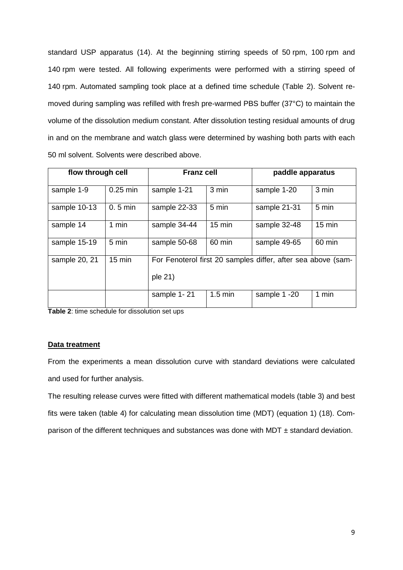standard USP apparatus (14). At the beginning stirring speeds of 50 rpm, 100 rpm and 140 rpm were tested. All following experiments were performed with a stirring speed of 140 rpm. Automated sampling took place at a defined time schedule (Table 2). Solvent removed during sampling was refilled with fresh pre-warmed PBS buffer (37°C) to maintain the volume of the dissolution medium constant. After dissolution testing residual amounts of drug in and on the membrane and watch glass were determined by washing both parts with each 50 ml solvent. Solvents were described above.

| flow through cell |                  | <b>Franz cell</b>                                                       |                   | paddle apparatus |                  |
|-------------------|------------------|-------------------------------------------------------------------------|-------------------|------------------|------------------|
| sample 1-9        | $0.25$ min       | sample 1-21                                                             | 3 min             | sample 1-20      | 3 min            |
| sample 10-13      | $0.5$ min        | sample 22-33                                                            | 5 min             | sample 21-31     | 5 min            |
| sample 14         | 1 min            | sample 34-44                                                            | $15 \text{ min}$  | sample 32-48     | $15 \text{ min}$ |
| sample 15-19      | 5 min            | sample 50-68                                                            | 60 min            | sample 49-65     | 60 min           |
| sample 20, 21     | $15 \text{ min}$ | For Fenoterol first 20 samples differ, after sea above (sam-<br>ple 21) |                   |                  |                  |
|                   |                  | sample 1-21                                                             | $1.5 \text{ min}$ | sample 1 -20     | 1 min            |

**Table 2**: time schedule for dissolution set ups

## **Data treatment**

From the experiments a mean dissolution curve with standard deviations were calculated and used for further analysis.

The resulting release curves were fitted with different mathematical models (table 3) and best fits were taken (table 4) for calculating mean dissolution time (MDT) (equation 1) (18). Comparison of the different techniques and substances was done with MDT  $\pm$  standard deviation.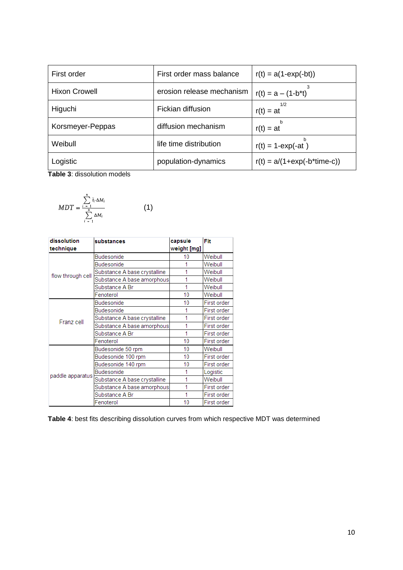| First order          | First order mass balance  | $r(t) = a(1-exp(-bt))$         |
|----------------------|---------------------------|--------------------------------|
| <b>Hixon Crowell</b> | erosion release mechanism | $r(t) = a - (1-b*t)$           |
| Higuchi              | Fickian diffusion         | 1/2<br>$r(t) = at$             |
| Korsmeyer-Peppas     | diffusion mechanism       | $r(t) = at$                    |
| Weibull              | life time distribution    | h<br>$r(t) = 1$ -exp(-at)      |
| Logistic             | population-dynamics       | $r(t) = a/(1+exp(-b^*time-c))$ |

**Table 3**: dissolution models

$$
MDT = \frac{\sum_{i=1}^{n} \overline{t}_i \cdot \Delta M_i}{\sum_{i=1}^{n} \Delta M_i}
$$
 (1)

| dissolution<br>substances<br>technique |                              | capsule<br>weight [mg] | Fit         |
|----------------------------------------|------------------------------|------------------------|-------------|
|                                        | <b>Budesonide</b>            | 10                     | Weibull     |
|                                        | <b>Budesonide</b>            |                        | Weibull     |
|                                        | Substance A base crystalline | 1                      | Weibull     |
| flow through cell                      | Substance A base amorphous   |                        | Weibull     |
|                                        | Substance A Br               |                        | Weibull     |
|                                        | Fenoterol                    | 10                     | Weibull     |
|                                        | <b>Budesonide</b>            | 10                     | First order |
| Franz cell                             | <b>Budesonide</b>            |                        | First order |
|                                        | Substance A base crystalline |                        | First order |
|                                        | Substance A base amorphous   |                        | First order |
|                                        | Substance A Br               |                        | First order |
|                                        | Fenoterol                    | 10                     | First order |
| paddle apparatus                       | Budesonide 50 rpm            | 10                     | Weibull     |
|                                        | Budesonide 100 rpm           | 10                     | First order |
|                                        | Budesonide 140 rpm           | 10                     | First order |
|                                        | Budesonide                   |                        | Logistic    |
|                                        | Substance A base crystalline |                        | Weibull     |
|                                        | Substance A base amorphous   |                        | First order |
|                                        | Substance A Br               |                        | First order |
|                                        | Fenoterol                    | 10                     | First order |

**Table 4**: best fits describing dissolution curves from which respective MDT was determined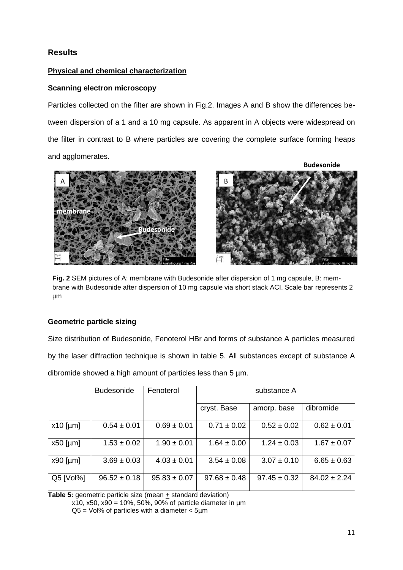# **Results**

# **Physical and chemical characterization**

# **Scanning electron microscopy**

Particles collected on the filter are shown in Fig.2. Images A and B show the differences between dispersion of a 1 and a 10 mg capsule. As apparent in A objects were widespread on the filter in contrast to B where particles are covering the complete surface forming heaps and agglomerates.



**Fig. 2** SEM pictures of A: membrane with Budesonide after dispersion of 1 mg capsule, B: membrane with Budesonide after dispersion of 10 mg capsule via short stack ACI. Scale bar represents 2 µm

# **Geometric particle sizing**

Size distribution of Budesonide, Fenoterol HBr and forms of substance A particles measured by the laser diffraction technique is shown in table 5. All substances except of substance A dibromide showed a high amount of particles less than 5 µm.

|             | <b>Budesonide</b> | Fenoterol        | substance A      |                  |                  |
|-------------|-------------------|------------------|------------------|------------------|------------------|
|             |                   |                  | cryst. Base      | amorp. base      | dibromide        |
| $x10$ [µm]  | $0.54 \pm 0.01$   | $0.69 \pm 0.01$  | $0.71 \pm 0.02$  | $0.52 \pm 0.02$  | $0.62 \pm 0.01$  |
| $x50$ [µm]  | $1.53 \pm 0.02$   | $1.90 \pm 0.01$  | $1.64 \pm 0.00$  | $1.24 \pm 0.03$  | $1.67 \pm 0.07$  |
| $x90$ [µm]  | $3.69 \pm 0.03$   | $4.03 \pm 0.01$  | $3.54 \pm 0.08$  | $3.07 \pm 0.10$  | $6.65 \pm 0.63$  |
| $Q5$ [Vol%] | $96.52 \pm 0.18$  | $95.83 \pm 0.07$ | $97.68 \pm 0.48$ | $97.45 \pm 0.32$ | $84.02 \pm 2.24$ |

**Table 5:** geometric particle size (mean  $\pm$  standard deviation) x10, x50, x90 = 10%, 50%, 90% of particle diameter in  $\mu$ m

 $Q5 = Vol\%$  of particles with a diameter  $<$  5µm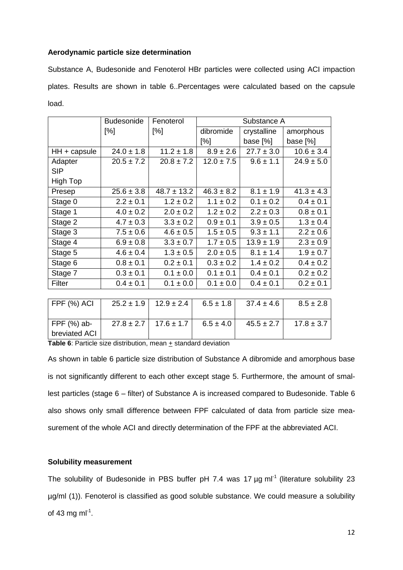## **Aerodynamic particle size determination**

Substance A, Budesonide and Fenoterol HBr particles were collected using ACI impaction plates. Results are shown in table 6..Percentages were calculated based on the capsule load.

|                | <b>Budesonide</b> | Fenoterol       | Substance A    |                |                |
|----------------|-------------------|-----------------|----------------|----------------|----------------|
|                | [%]               | [%]             | dibromide      | crystalline    | amorphous      |
|                |                   |                 | [%]            | base [%]       | base [%]       |
| $HH + capsule$ | $24.0 \pm 1.8$    | $11.2 \pm 1.8$  | $8.9 \pm 2.6$  | $27.7 \pm 3.0$ | $10.6 \pm 3.4$ |
| Adapter        | $20.5 \pm 7.2$    | $20.8 \pm 7.2$  | $12.0 \pm 7.5$ | $9.6 \pm 1.1$  | $24.9 \pm 5.0$ |
| <b>SIP</b>     |                   |                 |                |                |                |
| High Top       |                   |                 |                |                |                |
| Presep         | $25.6 \pm 3.8$    | $48.7 \pm 13.2$ | $46.3 \pm 8.2$ | $8.1 \pm 1.9$  | $41.3 \pm 4.3$ |
| Stage 0        | $2.2 \pm 0.1$     | $1.2 \pm 0.2$   | $1.1 \pm 0.2$  | $0.1 \pm 0.2$  | $0.4 \pm 0.1$  |
| Stage 1        | $4.0 \pm 0.2$     | $2.0 \pm 0.2$   | $1.2 \pm 0.2$  | $2.2 \pm 0.3$  | $0.8 \pm 0.1$  |
| Stage 2        | $4.7 \pm 0.3$     | $3.3 \pm 0.2$   | $0.9 \pm 0.1$  | $3.9 \pm 0.5$  | $1.3 \pm 0.4$  |
| Stage 3        | $7.5 \pm 0.6$     | $4.6 \pm 0.5$   | $1.5 \pm 0.5$  | $9.3 \pm 1.1$  | $2.2 \pm 0.6$  |
| Stage 4        | $6.9 \pm 0.8$     | $3.3 \pm 0.7$   | $1.7 \pm 0.5$  | $13.9 \pm 1.9$ | $2.3 \pm 0.9$  |
| Stage 5        | $4.6 \pm 0.4$     | $1.3 \pm 0.5$   | $2.0 \pm 0.5$  | $8.1 \pm 1.4$  | $1.9 \pm 0.7$  |
| Stage 6        | $0.8 \pm 0.1$     | $0.2 \pm 0.1$   | $0.3 \pm 0.2$  | $1.4 \pm 0.2$  | $0.4 \pm 0.2$  |
| Stage 7        | $0.3 \pm 0.1$     | $0.1 \pm 0.0$   | $0.1 \pm 0.1$  | $0.4 \pm 0.1$  | $0.2 \pm 0.2$  |
| Filter         | $0.4 \pm 0.1$     | $0.1 \pm 0.0$   | $0.1 \pm 0.0$  | $0.4 \pm 0.1$  | $0.2 \pm 0.1$  |
|                |                   |                 |                |                |                |
| FPF (%) ACI    | $25.2 \pm 1.9$    | $12.9 \pm 2.4$  | $6.5 \pm 1.8$  | $37.4 \pm 4.6$ | $8.5 \pm 2.8$  |
|                |                   |                 |                |                |                |
| FPF (%) ab-    | $27.8 \pm 2.7$    | $17.6 \pm 1.7$  | $6.5 \pm 4.0$  | $45.5 \pm 2.7$ | $17.8 \pm 3.7$ |
| breviated ACI  |                   |                 |                |                |                |

**Table 6**: Particle size distribution, mean + standard deviation

As shown in table 6 particle size distribution of Substance A dibromide and amorphous base is not significantly different to each other except stage 5. Furthermore, the amount of smallest particles (stage 6 – filter) of Substance A is increased compared to Budesonide. Table 6 also shows only small difference between FPF calculated of data from particle size measurement of the whole ACI and directly determination of the FPF at the abbreviated ACI.

## **Solubility measurement**

The solubility of Budesonide in PBS buffer pH 7.4 was 17 µg ml<sup>-1</sup> (literature solubility 23 µg/ml (1)). Fenoterol is classified as good soluble substance. We could measure a solubility of 43 mg m $I^{-1}$ .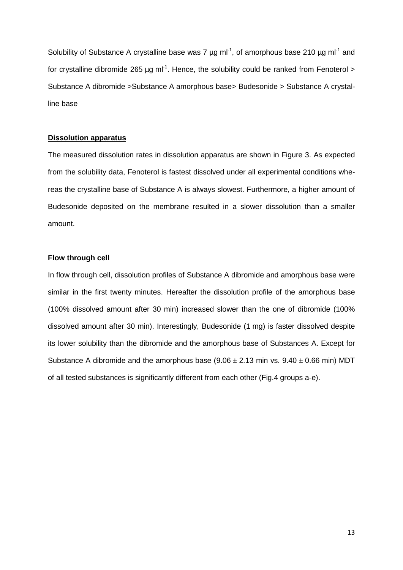Solubility of Substance A crystalline base was 7  $\mu$ g ml<sup>-1</sup>, of amorphous base 210  $\mu$ g ml<sup>-1</sup> and for crystalline dibromide 265 µg ml<sup>-1</sup>. Hence, the solubility could be ranked from Fenoterol > Substance A dibromide >Substance A amorphous base> Budesonide > Substance A crystalline base

### **Dissolution apparatus**

The measured dissolution rates in dissolution apparatus are shown in Figure 3. As expected from the solubility data, Fenoterol is fastest dissolved under all experimental conditions whereas the crystalline base of Substance A is always slowest. Furthermore, a higher amount of Budesonide deposited on the membrane resulted in a slower dissolution than a smaller amount.

### **Flow through cell**

In flow through cell, dissolution profiles of Substance A dibromide and amorphous base were similar in the first twenty minutes. Hereafter the dissolution profile of the amorphous base (100% dissolved amount after 30 min) increased slower than the one of dibromide (100% dissolved amount after 30 min). Interestingly, Budesonide (1 mg) is faster dissolved despite its lower solubility than the dibromide and the amorphous base of Substances A. Except for Substance A dibromide and the amorphous base  $(9.06 \pm 2.13 \text{ min} \text{ vs. } 9.40 \pm 0.66 \text{ min}) \text{ MDT}$ of all tested substances is significantly different from each other (Fig.4 groups a-e).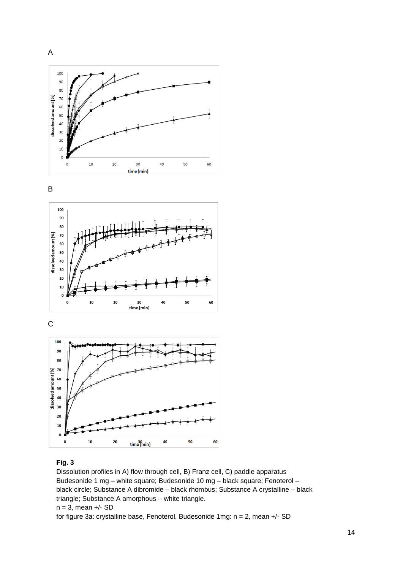









## **Fig. 3**

Dissolution profiles in A) flow through cell, B) Franz cell, C) paddle apparatus Budesonide 1 mg – white square; Budesonide 10 mg – black square; Fenoterol – black circle; Substance A dibromide – black rhombus; Substance A crystalline – black triangle; Substance A amorphous – white triangle.  $n = 3$ , mean  $+/-$  SD

for figure 3a: crystalline base, Fenoterol, Budesonide 1mg: n = 2, mean +/- SD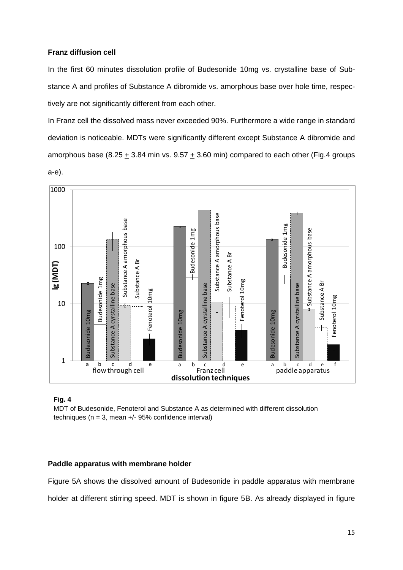## **Franz diffusion cell**

In the first 60 minutes dissolution profile of Budesonide 10mg vs. crystalline base of Substance A and profiles of Substance A dibromide vs. amorphous base over hole time, respectively are not significantly different from each other.

In Franz cell the dissolved mass never exceeded 90%. Furthermore a wide range in standard deviation is noticeable. MDTs were significantly different except Substance A dibromide and amorphous base (8.25  $\pm$  3.84 min vs. 9.57  $\pm$  3.60 min) compared to each other (Fig.4 groups a-e).



## **Fig. 4**

MDT of Budesonide, Fenoterol and Substance A as determined with different dissolution techniques ( $n = 3$ , mean  $+/-$  95% confidence interval)

## **Paddle apparatus with membrane holder**

Figure 5A shows the dissolved amount of Budesonide in paddle apparatus with membrane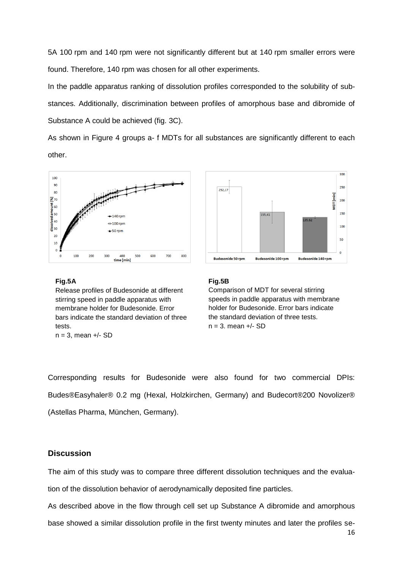5A 100 rpm and 140 rpm were not significantly different but at 140 rpm smaller errors were found. Therefore, 140 rpm was chosen for all other experiments.

In the paddle apparatus ranking of dissolution profiles corresponded to the solubility of substances. Additionally, discrimination between profiles of amorphous base and dibromide of Substance A could be achieved (fig. 3C).

As shown in Figure 4 groups a- f MDTs for all substances are significantly different to each other.







### **Fig.5B**

Comparison of MDT for several stirring speeds in paddle apparatus with membrane holder for Budesonide. Error bars indicate the standard deviation of three tests.  $n = 3$ , mean  $+/-$  SD

Corresponding results for Budesonide were also found for two commercial DPIs: Budes®Easyhaler® 0.2 mg (Hexal, Holzkirchen, Germany) and Budecort®200 Novolizer® (Astellas Pharma, München, Germany).

## **Discussion**

The aim of this study was to compare three different dissolution techniques and the evaluation of the dissolution behavior of aerodynamically deposited fine particles.

As described above in the flow through cell set up Substance A dibromide and amorphous base showed a similar dissolution profile in the first twenty minutes and later the profiles se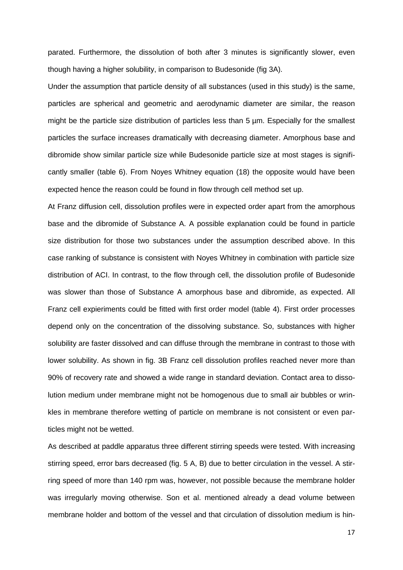parated. Furthermore, the dissolution of both after 3 minutes is significantly slower, even though having a higher solubility, in comparison to Budesonide (fig 3A).

Under the assumption that particle density of all substances (used in this study) is the same, particles are spherical and geometric and aerodynamic diameter are similar, the reason might be the particle size distribution of particles less than 5  $\mu$ m. Especially for the smallest particles the surface increases dramatically with decreasing diameter. Amorphous base and dibromide show similar particle size while Budesonide particle size at most stages is significantly smaller (table 6). From Noyes Whitney equation (18) the opposite would have been expected hence the reason could be found in flow through cell method set up.

At Franz diffusion cell, dissolution profiles were in expected order apart from the amorphous base and the dibromide of Substance A. A possible explanation could be found in particle size distribution for those two substances under the assumption described above. In this case ranking of substance is consistent with Noyes Whitney in combination with particle size distribution of ACI. In contrast, to the flow through cell, the dissolution profile of Budesonide was slower than those of Substance A amorphous base and dibromide, as expected. All Franz cell expieriments could be fitted with first order model (table 4). First order processes depend only on the concentration of the dissolving substance. So, substances with higher solubility are faster dissolved and can diffuse through the membrane in contrast to those with lower solubility. As shown in fig. 3B Franz cell dissolution profiles reached never more than 90% of recovery rate and showed a wide range in standard deviation. Contact area to dissolution medium under membrane might not be homogenous due to small air bubbles or wrinkles in membrane therefore wetting of particle on membrane is not consistent or even particles might not be wetted.

As described at paddle apparatus three different stirring speeds were tested. With increasing stirring speed, error bars decreased (fig. 5 A, B) due to better circulation in the vessel. A stirring speed of more than 140 rpm was, however, not possible because the membrane holder was irregularly moving otherwise. Son et al. mentioned already a dead volume between membrane holder and bottom of the vessel and that circulation of dissolution medium is hin-

17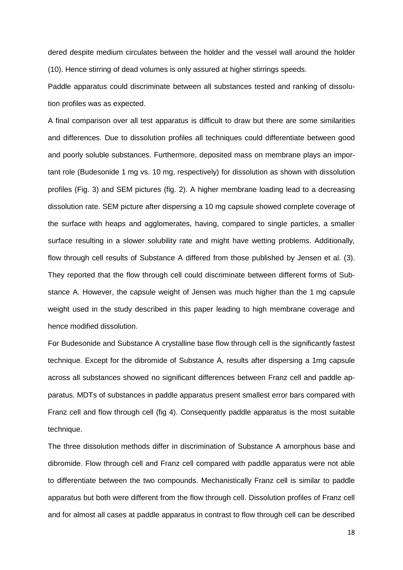dered despite medium circulates between the holder and the vessel wall around the holder (10). Hence stirring of dead volumes is only assured at higher stirrings speeds.

Paddle apparatus could discriminate between all substances tested and ranking of dissolution profiles was as expected.

A final comparison over all test apparatus is difficult to draw but there are some similarities and differences. Due to dissolution profiles all techniques could differentiate between good and poorly soluble substances. Furthermore, deposited mass on membrane plays an important role (Budesonide 1 mg vs. 10 mg, respectively) for dissolution as shown with dissolution profiles (Fig. 3) and SEM pictures (fig. 2). A higher membrane loading lead to a decreasing dissolution rate. SEM picture after dispersing a 10 mg capsule showed complete coverage of the surface with heaps and agglomerates, having, compared to single particles, a smaller surface resulting in a slower solubility rate and might have wetting problems. Additionally, flow through cell results of Substance A differed from those published by Jensen et al. (3). They reported that the flow through cell could discriminate between different forms of Substance A. However, the capsule weight of Jensen was much higher than the 1 mg capsule weight used in the study described in this paper leading to high membrane coverage and hence modified dissolution.

For Budesonide and Substance A crystalline base flow through cell is the significantly fastest technique. Except for the dibromide of Substance A, results after dispersing a 1mg capsule across all substances showed no significant differences between Franz cell and paddle apparatus. MDTs of substances in paddle apparatus present smallest error bars compared with Franz cell and flow through cell (fig 4). Consequently paddle apparatus is the most suitable technique.

The three dissolution methods differ in discrimination of Substance A amorphous base and dibromide. Flow through cell and Franz cell compared with paddle apparatus were not able to differentiate between the two compounds. Mechanistically Franz cell is similar to paddle apparatus but both were different from the flow through cell. Dissolution profiles of Franz cell and for almost all cases at paddle apparatus in contrast to flow through cell can be described

18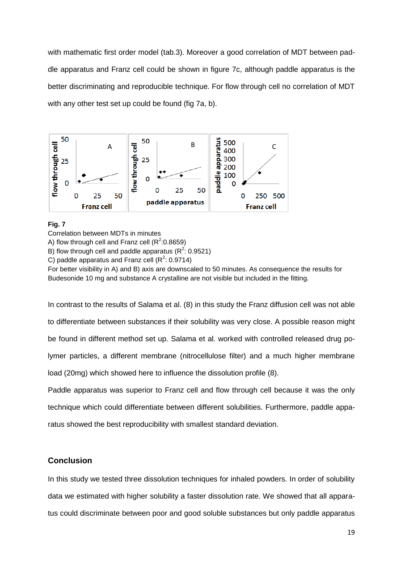with mathematic first order model (tab.3). Moreover a good correlation of MDT between paddle apparatus and Franz cell could be shown in figure 7c, although paddle apparatus is the better discriminating and reproducible technique. For flow through cell no correlation of MDT with any other test set up could be found (fig 7a, b).



## **Fig. 7**

Correlation between MDTs in minutes

A) flow through cell and Franz cell ( $R^2$ :0.8659)

B) flow through cell and paddle apparatus ( $R^2$ : 0.9521)

C) paddle apparatus and Franz cell ( $R^2$ : 0.9714)

For better visibility in A) and B) axis are downscaled to 50 minutes. As consequence the results for Budesonide 10 mg and substance A crystalline are not visible but included in the fitting.

In contrast to the results of Salama et al. (8) in this study the Franz diffusion cell was not able to differentiate between substances if their solubility was very close. A possible reason might be found in different method set up. Salama et al. worked with controlled released drug polymer particles, a different membrane (nitrocellulose filter) and a much higher membrane load (20mg) which showed here to influence the dissolution profile (8).

Paddle apparatus was superior to Franz cell and flow through cell because it was the only technique which could differentiate between different solubilities. Furthermore, paddle apparatus showed the best reproducibility with smallest standard deviation.

## **Conclusion**

In this study we tested three dissolution techniques for inhaled powders. In order of solubility data we estimated with higher solubility a faster dissolution rate. We showed that all apparatus could discriminate between poor and good soluble substances but only paddle apparatus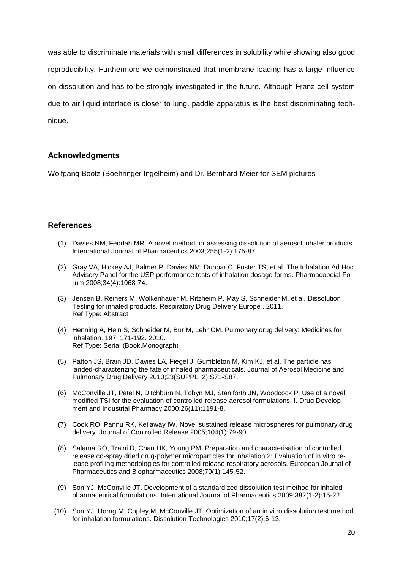was able to discriminate materials with small differences in solubility while showing also good reproducibility. Furthermore we demonstrated that membrane loading has a large influence on dissolution and has to be strongly investigated in the future. Although Franz cell system due to air liquid interface is closer to lung, paddle apparatus is the best discriminating technique.

# **Acknowledgments**

Wolfgang Bootz (Boehringer Ingelheim) and Dr. Bernhard Meier for SEM pictures

## **References**

- (1) Davies NM, Feddah MR. A novel method for assessing dissolution of aerosol inhaler products. International Journal of Pharmaceutics 2003;255(1-2):175-87.
- (2) Gray VA, Hickey AJ, Balmer P, Davies NM, Dunbar C, Foster TS, et al. The Inhalation Ad Hoc Advisory Panel for the USP performance tests of inhalation dosage forms. Pharmacopeial Forum 2008;34(4):1068-74.
- (3) Jensen B, Reiners M, Wolkenhauer M, Ritzheim P, May S, Schneider M, et al. Dissolution Testing for inhaled products. Respiratory Drug Delivery Europe . 2011. Ref Type: Abstract
- (4) Henning A, Hein S, Schneider M, Bur M, Lehr CM. Pulmonary drug delivery: Medicines for inhalation. 197, 171-192. 2010. Ref Type: Serial (Book,Monograph)
- (5) Patton JS, Brain JD, Davies LA, Fiegel J, Gumbleton M, Kim KJ, et al. The particle has landed-characterizing the fate of inhaled pharmaceuticals. Journal of Aerosol Medicine and Pulmonary Drug Delivery 2010;23(SUPPL. 2):S71-S87.
- (6) McConville JT, Patel N, Ditchburn N, Tobyn MJ, Staniforth JN, Woodcock P. Use of a novel modified TSI for the evaluation of controlled-release aerosol formulations. I. Drug Development and Industrial Pharmacy 2000;26(11):1191-8.
- (7) Cook RO, Pannu RK, Kellaway IW. Novel sustained release microspheres for pulmonary drug delivery. Journal of Controlled Release 2005;104(1):79-90.
- (8) Salama RO, Traini D, Chan HK, Young PM. Preparation and characterisation of controlled release co-spray dried drug-polymer microparticles for inhalation 2: Evaluation of in vitro release profiling methodologies for controlled release respiratory aerosols. European Journal of Pharmaceutics and Biopharmaceutics 2008;70(1):145-52.
- (9) Son YJ, McConville JT. Development of a standardized dissolution test method for inhaled pharmaceutical formulations. International Journal of Pharmaceutics 2009;382(1-2):15-22.
- (10) Son YJ, Horng M, Copley M, McConville JT. Optimization of an in vitro dissolution test method for inhalation formulations. Dissolution Technologies 2010;17(2):6-13.